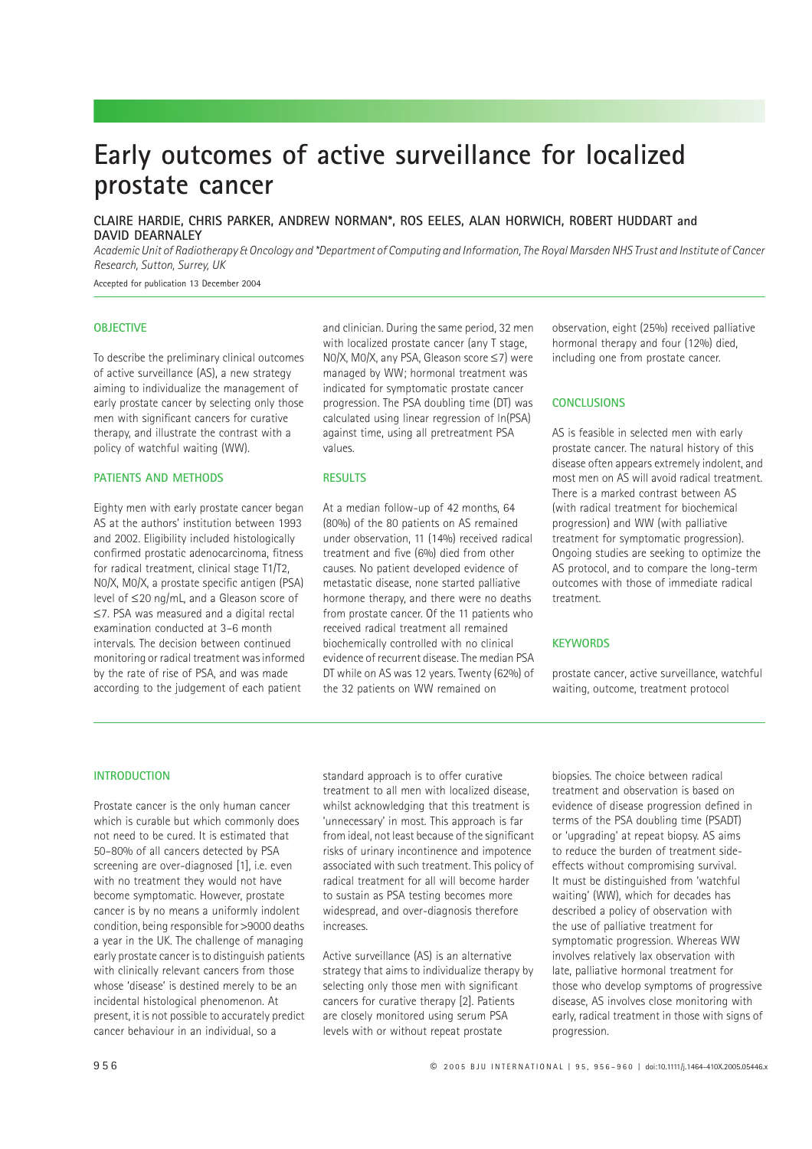# **Early outcomes of active surveillance for localized prostate cancer**

## **CLAIRE HARDIE, CHRIS PARKER, ANDREW NORMAN\*, ROS EELES, ALAN HORWICH, ROBERT HUDDART and DAVID DEARNALEY**

*Academic Unit of Radiotherapy & Oncology and \*Department of Computing and Information, The Royal Marsden NHS Trust and Institute of Cancer Research, Sutton, Surrey, UK*

Accepted for publication 13 December 2004

### **OBJECTIVE**

To describe the preliminary clinical outcomes of active surveillance (AS), a new strategy aiming to individualize the management of early prostate cancer by selecting only those men with significant cancers for curative therapy, and illustrate the contrast with a policy of watchful waiting (WW).

#### **PATIENTS AND METHODS**

Eighty men with early prostate cancer began AS at the authors' institution between 1993 and 2002. Eligibility included histologically confirmed prostatic adenocarcinoma, fitness for radical treatment, clinical stage T1/T2, N0/X, M0/X, a prostate specific antigen (PSA) level of  $\leq$ 20 ng/mL, and a Gleason score of  $\leq$ 7. PSA was measured and a digital rectal examination conducted at 3–6 month intervals. The decision between continued monitoring or radical treatment was informed by the rate of rise of PSA, and was made according to the judgement of each patient

and clinician. During the same period, 32 men with localized prostate cancer (any T stage, NO/X, MO/X, any PSA, Gleason score ≤7) were managed by WW; hormonal treatment was indicated for symptomatic prostate cancer progression. The PSA doubling time (DT) was calculated using linear regression of ln(PSA) against time, using all pretreatment PSA values.

### **RESULTS**

At a median follow-up of 42 months, 64 (80%) of the 80 patients on AS remained under observation, 11 (14%) received radical treatment and five (6%) died from other causes. No patient developed evidence of metastatic disease, none started palliative hormone therapy, and there were no deaths from prostate cancer. Of the 11 patients who received radical treatment all remained biochemically controlled with no clinical evidence of recurrent disease. The median PSA DT while on AS was 12 years. Twenty (62%) of the 32 patients on WW remained on

observation, eight (25%) received palliative hormonal therapy and four (12%) died, including one from prostate cancer.

#### **CONCLUSIONS**

AS is feasible in selected men with early prostate cancer. The natural history of this disease often appears extremely indolent, and most men on AS will avoid radical treatment. There is a marked contrast between AS (with radical treatment for biochemical progression) and WW (with palliative treatment for symptomatic progression). Ongoing studies are seeking to optimize the AS protocol, and to compare the long-term outcomes with those of immediate radical treatment.

## **KEYWORDS**

prostate cancer, active surveillance, watchful waiting, outcome, treatment protocol

## **INTRODUCTION**

Prostate cancer is the only human cancer which is curable but which commonly does not need to be cured. It is estimated that 50–80% of all cancers detected by PSA screening are over-diagnosed [1], i.e. even with no treatment they would not have become symptomatic. However, prostate cancer is by no means a uniformly indolent condition, being responsible for >9000 deaths a year in the UK. The challenge of managing early prostate cancer is to distinguish patients with clinically relevant cancers from those whose 'disease' is destined merely to be an incidental histological phenomenon. At present, it is not possible to accurately predict cancer behaviour in an individual, so a

standard approach is to offer curative treatment to all men with localized disease, whilst acknowledging that this treatment is 'unnecessary' in most. This approach is far from ideal, not least because of the significant risks of urinary incontinence and impotence associated with such treatment. This policy of radical treatment for all will become harder to sustain as PSA testing becomes more widespread, and over-diagnosis therefore increases.

Active surveillance (AS) is an alternative strategy that aims to individualize therapy by selecting only those men with significant cancers for curative therapy [2]. Patients are closely monitored using serum PSA levels with or without repeat prostate

biopsies. The choice between radical treatment and observation is based on evidence of disease progression defined in terms of the PSA doubling time (PSADT) or 'upgrading' at repeat biopsy. AS aims to reduce the burden of treatment sideeffects without compromising survival. It must be distinguished from 'watchful waiting' (WW), which for decades has described a policy of observation with the use of palliative treatment for symptomatic progression. Whereas WW involves relatively lax observation with late, palliative hormonal treatment for those who develop symptoms of progressive disease, AS involves close monitoring with early, radical treatment in those with signs of progression.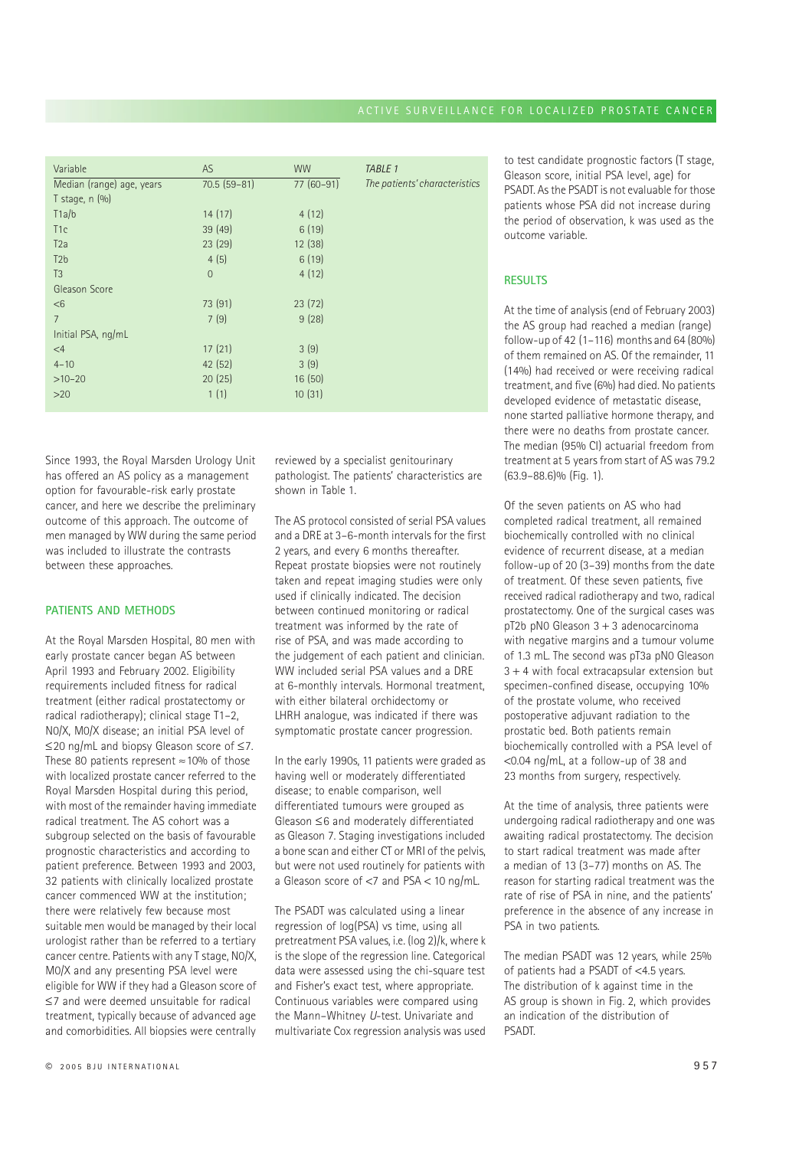| Variable                  | <b>AS</b>      | <b>WW</b>   | TABLE 1                       |
|---------------------------|----------------|-------------|-------------------------------|
| Median (range) age, years | $70.5(59-81)$  | $77(60-91)$ | The patients' characteristics |
| T stage, $n(96)$          |                |             |                               |
| T1a/b                     | 14(17)         | 4(12)       |                               |
| T <sub>1c</sub>           | 39 (49)        | 6(19)       |                               |
| T2a                       | 23(29)         | 12 (38)     |                               |
| T <sub>2</sub> b          | 4(5)           | 6(19)       |                               |
| T <sub>3</sub>            | $\overline{0}$ | 4(12)       |                               |
| Gleason Score             |                |             |                               |
| < 6                       | 73 (91)        | 23(72)      |                               |
| $\overline{7}$            | 7(9)           | 9(28)       |                               |
| Initial PSA, ng/mL        |                |             |                               |
| $<$ 4                     | 17(21)         | 3(9)        |                               |
| $4 - 10$                  | 42 (52)        | 3(9)        |                               |
| $>10-20$                  | 20(25)         | 16 (50)     |                               |
| $>20$                     | 1(1)           | 10(31)      |                               |

Since 1993, the Royal Marsden Urology Unit has offered an AS policy as a management option for favourable-risk early prostate cancer, and here we describe the preliminary outcome of this approach. The outcome of men managed by WW during the same period was included to illustrate the contrasts between these approaches.

### **PATIENTS AND METHODS**

At the Royal Marsden Hospital, 80 men with early prostate cancer began AS between April 1993 and February 2002. Eligibility requirements included fitness for radical treatment (either radical prostatectomy or radical radiotherapy); clinical stage T1–2, N0/X, M0/X disease; an initial PSA level of  $\leq$ 20 ng/mL and biopsy Gleason score of  $\leq$ 7. These 80 patients represent  $\approx$  10% of those with localized prostate cancer referred to the Royal Marsden Hospital during this period, with most of the remainder having immediate radical treatment. The AS cohort was a subgroup selected on the basis of favourable prognostic characteristics and according to patient preference. Between 1993 and 2003, 32 patients with clinically localized prostate cancer commenced WW at the institution; there were relatively few because most suitable men would be managed by their local urologist rather than be referred to a tertiary cancer centre. Patients with any T stage, N0/X, M0/X and any presenting PSA level were eligible for WW if they had a Gleason score of  $\leq$ 7 and were deemed unsuitable for radical treatment, typically because of advanced age and comorbidities. All biopsies were centrally

reviewed by a specialist genitourinary pathologist. The patients' characteristics are shown in Table 1.

The AS protocol consisted of serial PSA values and a DRE at 3–6-month intervals for the first 2 years, and every 6 months thereafter. Repeat prostate biopsies were not routinely taken and repeat imaging studies were only used if clinically indicated. The decision between continued monitoring or radical treatment was informed by the rate of rise of PSA, and was made according to the judgement of each patient and clinician. WW included serial PSA values and a DRE at 6-monthly intervals. Hormonal treatment, with either bilateral orchidectomy or LHRH analogue, was indicated if there was symptomatic prostate cancer progression.

In the early 1990s, 11 patients were graded as having well or moderately differentiated disease; to enable comparison, well differentiated tumours were grouped as Gleason  $\leq$ 6 and moderately differentiated as Gleason 7. Staging investigations included a bone scan and either CT or MRI of the pelvis, but were not used routinely for patients with a Gleason score of <7 and PSA < 10 ng/mL.

The PSADT was calculated using a linear regression of log(PSA) vs time, using all pretreatment PSA values, i.e. (log 2)/k, where k is the slope of the regression line. Categorical data were assessed using the chi-square test and Fisher's exact test, where appropriate. Continuous variables were compared using the Mann–Whitney *U*-test. Univariate and multivariate Cox regression analysis was used to test candidate prognostic factors (T stage, Gleason score, initial PSA level, age) for PSADT. As the PSADT is not evaluable for those patients whose PSA did not increase during the period of observation, k was used as the outcome variable.

# **RESULTS**

At the time of analysis (end of February 2003) the AS group had reached a median (range) follow-up of 42 (1–116) months and 64 (80%) of them remained on AS. Of the remainder, 11 (14%) had received or were receiving radical treatment, and five (6%) had died. No patients developed evidence of metastatic disease, none started palliative hormone therapy, and there were no deaths from prostate cancer. The median (95% CI) actuarial freedom from treatment at 5 years from start of AS was 79.2 (63.9–88.6)% (Fig. 1).

Of the seven patients on AS who had completed radical treatment, all remained biochemically controlled with no clinical evidence of recurrent disease, at a median follow-up of 20 (3–39) months from the date of treatment. Of these seven patients, five received radical radiotherapy and two, radical prostatectomy. One of the surgical cases was pT2b pN0 Gleason 3 + 3 adenocarcinoma with negative margins and a tumour volume of 1.3 mL. The second was pT3a pN0 Gleason 3 + 4 with focal extracapsular extension but specimen-confined disease, occupying 10% of the prostate volume, who received postoperative adjuvant radiation to the prostatic bed. Both patients remain biochemically controlled with a PSA level of <0.04 ng/mL, at a follow-up of 38 and 23 months from surgery, respectively.

At the time of analysis, three patients were undergoing radical radiotherapy and one was awaiting radical prostatectomy. The decision to start radical treatment was made after a median of 13 (3–77) months on AS. The reason for starting radical treatment was the rate of rise of PSA in nine, and the patients' preference in the absence of any increase in PSA in two patients.

The median PSADT was 12 years, while 25% of patients had a PSADT of <4.5 years. The distribution of k against time in the AS group is shown in Fig. 2, which provides an indication of the distribution of PSADT.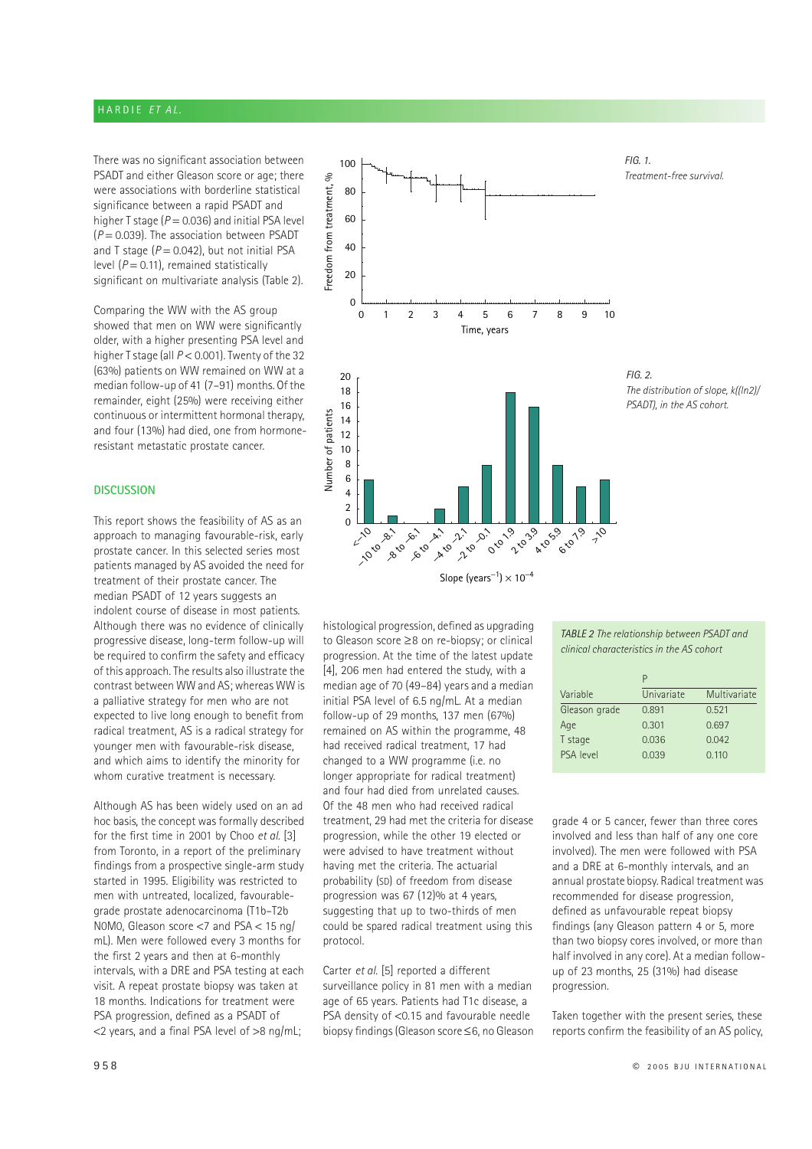## HARDIE *ET AL.*

There was no significant association between PSADT and either Gleason score or age; there were associations with borderline statistical significance between a rapid PSADT and higher T stage  $(P = 0.036)$  and initial PSA level  $(P = 0.039)$ . The association between PSADT and T stage  $(P = 0.042)$ , but not initial PSA level  $(P = 0.11)$ , remained statistically significant on multivariate analysis (Table 2).

Comparing the WW with the AS group showed that men on WW were significantly older, with a higher presenting PSA level and higher T stage (all *P* < 0.001). Twenty of the 32 (63%) patients on WW remained on WW at a median follow-up of 41 (7–91) months. Of the remainder, eight (25%) were receiving either continuous or intermittent hormonal therapy, and four (13%) had died, one from hormoneresistant metastatic prostate cancer.

#### **DISCUSSION**

This report shows the feasibility of AS as an approach to managing favourable-risk, early prostate cancer. In this selected series most patients managed by AS avoided the need for treatment of their prostate cancer. The median PSADT of 12 years suggests an indolent course of disease in most patients. Although there was no evidence of clinically progressive disease, long-term follow-up will be required to confirm the safety and efficacy of this approach. The results also illustrate the contrast between WW and AS; whereas WW is a palliative strategy for men who are not expected to live long enough to benefit from radical treatment, AS is a radical strategy for younger men with favourable-risk disease, and which aims to identify the minority for whom curative treatment is necessary.

Although AS has been widely used on an ad hoc basis, the concept was formally described for the first time in 2001 by Choo *et al.* [3] from Toronto, in a report of the preliminary findings from a prospective single-arm study started in 1995. Eligibility was restricted to men with untreated, localized, favourablegrade prostate adenocarcinoma (T1b–T2b N0M0, Gleason score <7 and PSA < 15 ng/ mL). Men were followed every 3 months for the first 2 years and then at 6-monthly intervals, with a DRE and PSA testing at each visit. A repeat prostate biopsy was taken at 18 months. Indications for treatment were PSA progression, defined as a PSADT of  $<$ 2 years, and a final PSA level of  $>$ 8 ng/mL;



histological progression, defined as upgrading to Gleason score ≥8 on re-biopsy; or clinical progression. At the time of the latest update [4], 206 men had entered the study, with a median age of 70 (49–84) years and a median initial PSA level of 6.5 ng/mL. At a median follow-up of 29 months, 137 men (67%) remained on AS within the programme, 48 had received radical treatment, 17 had changed to a WW programme (i.e. no longer appropriate for radical treatment) and four had died from unrelated causes. Of the 48 men who had received radical treatment, 29 had met the criteria for disease progression, while the other 19 elected or were advised to have treatment without having met the criteria. The actuarial probability (SD) of freedom from disease progression was 67 (12)% at 4 years, suggesting that up to two-thirds of men could be spared radical treatment using this protocol.

Carter *et al.* [5] reported a different surveillance policy in 81 men with a median age of 65 years. Patients had T1c disease, a PSA density of <0.15 and favourable needle biopsy findings (Gleason score £6, no Gleason *TABLE 2 The relationship between PSADT and clinical characteristics in the AS cohort*

|                  | P          |              |  |
|------------------|------------|--------------|--|
| Variable         | Univariate | Multivariate |  |
| Gleason grade    | 0.891      | 0.521        |  |
| Age              | 0.301      | 0.697        |  |
| T stage          | 0.036      | 0.042        |  |
| <b>PSA level</b> | 0.039      | 0.110        |  |

grade 4 or 5 cancer, fewer than three cores involved and less than half of any one core involved). The men were followed with PSA and a DRE at 6-monthly intervals, and an annual prostate biopsy. Radical treatment was recommended for disease progression, defined as unfavourable repeat biopsy findings (any Gleason pattern 4 or 5, more than two biopsy cores involved, or more than half involved in any core). At a median followup of 23 months, 25 (31%) had disease progression.

Taken together with the present series, these reports confirm the feasibility of an AS policy,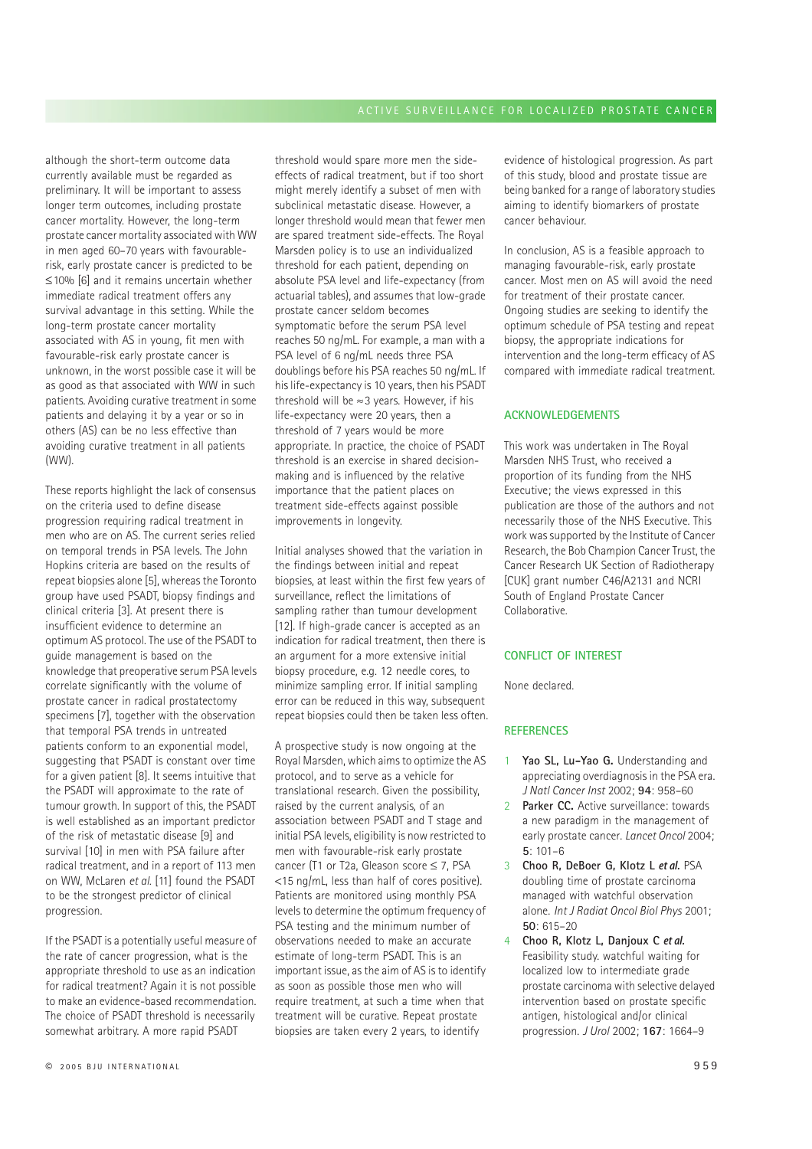although the short-term outcome data currently available must be regarded as preliminary. It will be important to assess longer term outcomes, including prostate cancer mortality. However, the long-term prostate cancer mortality associated with WW in men aged 60–70 years with favourablerisk, early prostate cancer is predicted to be  $\leq$ 10% [6] and it remains uncertain whether immediate radical treatment offers any survival advantage in this setting. While the long-term prostate cancer mortality associated with AS in young, fit men with favourable-risk early prostate cancer is unknown, in the worst possible case it will be as good as that associated with WW in such patients. Avoiding curative treatment in some patients and delaying it by a year or so in others (AS) can be no less effective than avoiding curative treatment in all patients (WW).

These reports highlight the lack of consensus on the criteria used to define disease progression requiring radical treatment in men who are on AS. The current series relied on temporal trends in PSA levels. The John Hopkins criteria are based on the results of repeat biopsies alone [5], whereas the Toronto group have used PSADT, biopsy findings and clinical criteria [3]. At present there is insufficient evidence to determine an optimum AS protocol. The use of the PSADT to guide management is based on the knowledge that preoperative serum PSA levels correlate significantly with the volume of prostate cancer in radical prostatectomy specimens [7], together with the observation that temporal PSA trends in untreated patients conform to an exponential model, suggesting that PSADT is constant over time for a given patient [8]. It seems intuitive that the PSADT will approximate to the rate of tumour growth. In support of this, the PSADT is well established as an important predictor of the risk of metastatic disease [9] and survival [10] in men with PSA failure after radical treatment, and in a report of 113 men on WW, McLaren *et al.* [11] found the PSADT to be the strongest predictor of clinical progression.

If the PSADT is a potentially useful measure of the rate of cancer progression, what is the appropriate threshold to use as an indication for radical treatment? Again it is not possible to make an evidence-based recommendation. The choice of PSADT threshold is necessarily somewhat arbitrary. A more rapid PSADT

threshold would spare more men the sideeffects of radical treatment, but if too short might merely identify a subset of men with subclinical metastatic disease. However, a longer threshold would mean that fewer men are spared treatment side-effects. The Royal Marsden policy is to use an individualized threshold for each patient, depending on absolute PSA level and life-expectancy (from actuarial tables), and assumes that low-grade prostate cancer seldom becomes symptomatic before the serum PSA level reaches 50 ng/mL. For example, a man with a PSA level of 6 ng/mL needs three PSA doublings before his PSA reaches 50 ng/mL. If his life-expectancy is 10 years, then his PSADT threshold will be  $\approx$ 3 years. However, if his life-expectancy were 20 years, then a threshold of 7 years would be more appropriate. In practice, the choice of PSADT threshold is an exercise in shared decisionmaking and is influenced by the relative importance that the patient places on treatment side-effects against possible improvements in longevity.

Initial analyses showed that the variation in the findings between initial and repeat biopsies, at least within the first few years of surveillance, reflect the limitations of sampling rather than tumour development [12]. If high-grade cancer is accepted as an indication for radical treatment, then there is an argument for a more extensive initial biopsy procedure, e.g. 12 needle cores, to minimize sampling error. If initial sampling error can be reduced in this way, subsequent repeat biopsies could then be taken less often.

A prospective study is now ongoing at the Royal Marsden, which aims to optimize the AS protocol, and to serve as a vehicle for translational research. Given the possibility, raised by the current analysis, of an association between PSADT and T stage and initial PSA levels, eligibility is now restricted to men with favourable-risk early prostate cancer (T1 or T2a, Gleason score  $\leq$  7, PSA <15 ng/mL, less than half of cores positive). Patients are monitored using monthly PSA levels to determine the optimum frequency of PSA testing and the minimum number of observations needed to make an accurate estimate of long-term PSADT. This is an important issue, as the aim of AS is to identify as soon as possible those men who will require treatment, at such a time when that treatment will be curative. Repeat prostate biopsies are taken every 2 years, to identify

evidence of histological progression. As part of this study, blood and prostate tissue are being banked for a range of laboratory studies aiming to identify biomarkers of prostate cancer behaviour.

In conclusion, AS is a feasible approach to managing favourable-risk, early prostate cancer. Most men on AS will avoid the need for treatment of their prostate cancer. Ongoing studies are seeking to identify the optimum schedule of PSA testing and repeat biopsy, the appropriate indications for intervention and the long-term efficacy of AS compared with immediate radical treatment.

#### **ACKNOWLEDGEMENTS**

This work was undertaken in The Royal Marsden NHS Trust, who received a proportion of its funding from the NHS Executive; the views expressed in this publication are those of the authors and not necessarily those of the NHS Executive. This work was supported by the Institute of Cancer Research, the Bob Champion Cancer Trust, the Cancer Research UK Section of Radiotherapy [CUK] grant number C46/A2131 and NCRI South of England Prostate Cancer Collaborative.

## **CONFLICT OF INTEREST**

None declared.

#### **REFERENCES**

- 1 **Yao SL, Lu-Yao G.** Understanding and appreciating overdiagnosis in the PSA era. *J Natl Cancer Inst* 2002; **94**: 958–60
- 2 **Parker CC.** Active surveillance: towards a new paradigm in the management of early prostate cancer. *Lancet Oncol* 2004; **5**: 101–6
- 3 **Choo R, DeBoer G, Klotz L** et al. PSA doubling time of prostate carcinoma managed with watchful observation alone. *Int J Radiat Oncol Biol Phys* 2001; **50**: 615–20
- 4 **Choo R, Klotz L, Danjoux C** et al. Feasibility study. watchful waiting for localized low to intermediate grade prostate carcinoma with selective delayed intervention based on prostate specific antigen, histological and/or clinical progression. *J Urol* 2002; **167**: 1664–9